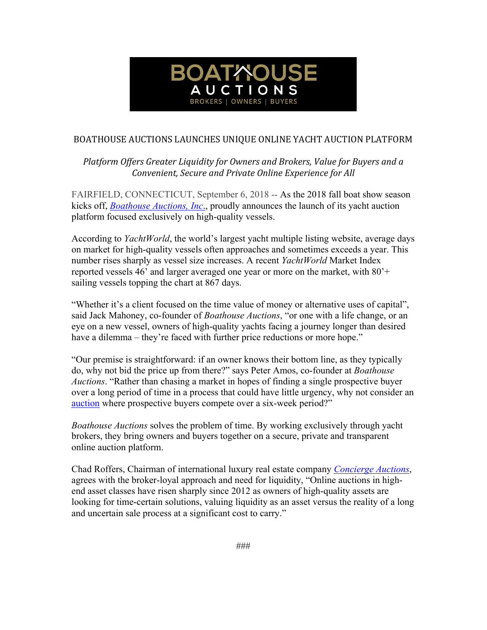

## BOATHOUSE AUCTIONS LAUNCHES UNIQUE ONLINE YACHT AUCTION PLATFORM

Platform Offers Greater Liquidity for Owners and Brokers, Value for Buyers and a *Convenient, Secure and Private Online Experience for All*

FAIRFIELD, CONNECTICUT, September 6, 2018 -- As the 2018 fall boat show season kicks off, *Boathouse Auctions, Inc*., proudly announces the launch of its yacht auction platform focused exclusively on high-quality vessels.

According to *YachtWorld*, the world's largest yacht multiple listing website, average days on market for high-quality vessels often approaches and sometimes exceeds a year. This number rises sharply as vessel size increases. A recent *YachtWorld* Market Index reported vessels 46' and larger averaged one year or more on the market, with 80'+ sailing vessels topping the chart at 867 days.

"Whether it's a client focused on the time value of money or alternative uses of capital", said Jack Mahoney, co-founder of *Boathouse Auctions*, "or one with a life change, or an eye on a new vessel, owners of high-quality yachts facing a journey longer than desired have a dilemma – they're faced with further price reductions or more hope."

"Our premise is straightforward: if an owner knows their bottom line, as they typically do, why not bid the price up from there?" says Peter Amos, co-founder at *Boathouse Auctions*. "Rather than chasing a market in hopes of finding a single prospective buyer over a long period of time in a process that could have little urgency, why not consider an auction where prospective buyers compete over a six-week period?"

*Boathouse Auctions* solves the problem of time. By working exclusively through yacht brokers, they bring owners and buyers together on a secure, private and transparent online auction platform.

Chad Roffers, Chairman of international luxury real estate company *Concierge Auctions*, agrees with the broker-loyal approach and need for liquidity, "Online auctions in highend asset classes have risen sharply since 2012 as owners of high-quality assets are looking for time-certain solutions, valuing liquidity as an asset versus the reality of a long and uncertain sale process at a significant cost to carry."